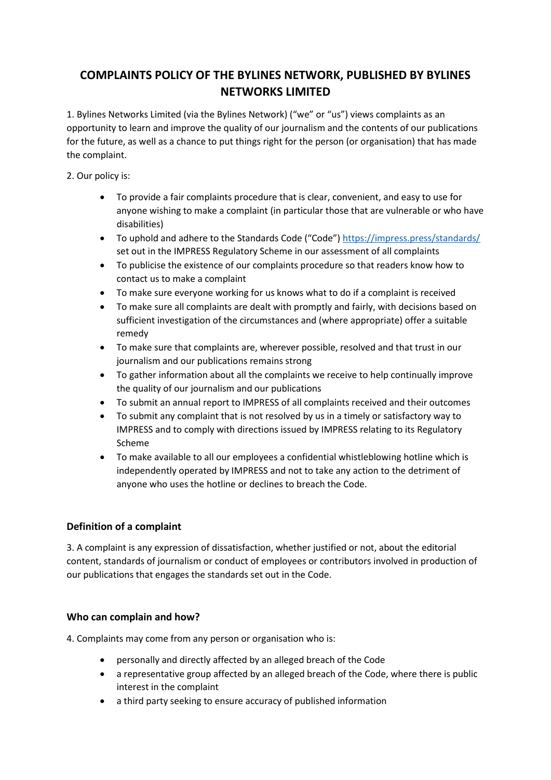# **COMPLAINTS POLICY OF THE BYLINES NETWORK, PUBLISHED BY BYLINES NETWORKS LIMITED**

1. Bylines Networks Limited (via the Bylines Network) ("we" or "us") views complaints as an opportunity to learn and improve the quality of our journalism and the contents of our publications for the future, as well as a chance to put things right for the person (or organisation) that has made the complaint.

2. Our policy is:

- To provide a fair complaints procedure that is clear, convenient, and easy to use for anyone wishing to make a complaint (in particular those that are vulnerable or who have disabilities)
- To uphold and adhere to the Standards Code ("Code") https://impress.press/standards/ set out in the IMPRESS Regulatory Scheme in our assessment of all complaints
- To publicise the existence of our complaints procedure so that readers know how to contact us to make a complaint
- To make sure everyone working for us knows what to do if a complaint is received
- To make sure all complaints are dealt with promptly and fairly, with decisions based on sufficient investigation of the circumstances and (where appropriate) offer a suitable remedy
- To make sure that complaints are, wherever possible, resolved and that trust in our journalism and our publications remains strong
- To gather information about all the complaints we receive to help continually improve the quality of our journalism and our publications
- To submit an annual report to IMPRESS of all complaints received and their outcomes
- To submit any complaint that is not resolved by us in a timely or satisfactory way to IMPRESS and to comply with directions issued by IMPRESS relating to its Regulatory Scheme
- To make available to all our employees a confidential whistleblowing hotline which is independently operated by IMPRESS and not to take any action to the detriment of anyone who uses the hotline or declines to breach the Code.

# **Definition of a complaint**

3. A complaint is any expression of dissatisfaction, whether justified or not, about the editorial content, standards of journalism or conduct of employees or contributors involved in production of our publications that engages the standards set out in the Code.

# **Who can complain and how?**

4. Complaints may come from any person or organisation who is:

- personally and directly affected by an alleged breach of the Code
- a representative group affected by an alleged breach of the Code, where there is public interest in the complaint
- a third party seeking to ensure accuracy of published information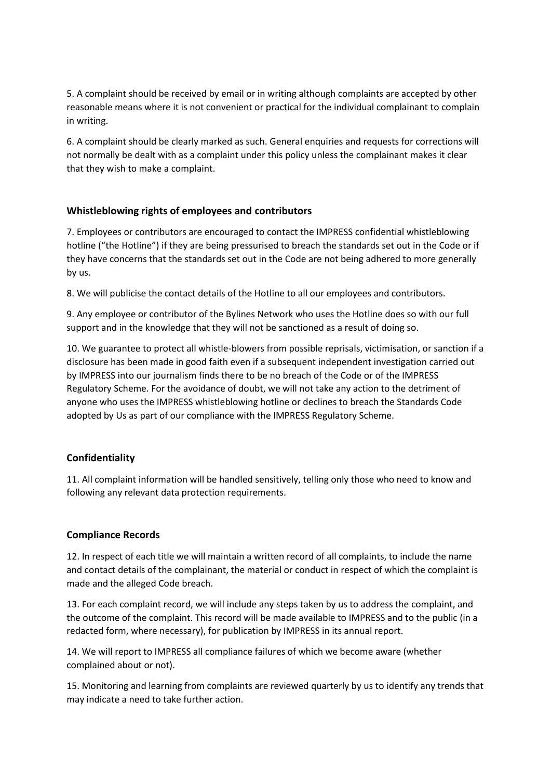5. A complaint should be received by email or in writing although complaints are accepted by other reasonable means where it is not convenient or practical for the individual complainant to complain in writing.

6. A complaint should be clearly marked as such. General enquiries and requests for corrections will not normally be dealt with as a complaint under this policy unless the complainant makes it clear that they wish to make a complaint.

## **Whistleblowing rights of employees and contributors**

7. Employees or contributors are encouraged to contact the IMPRESS confidential whistleblowing hotline ("the Hotline") if they are being pressurised to breach the standards set out in the Code or if they have concerns that the standards set out in the Code are not being adhered to more generally by us.

8. We will publicise the contact details of the Hotline to all our employees and contributors.

9. Any employee or contributor of the Bylines Network who uses the Hotline does so with our full support and in the knowledge that they will not be sanctioned as a result of doing so.

10. We guarantee to protect all whistle-blowers from possible reprisals, victimisation, or sanction if a disclosure has been made in good faith even if a subsequent independent investigation carried out by IMPRESS into our journalism finds there to be no breach of the Code or of the IMPRESS Regulatory Scheme. For the avoidance of doubt, we will not take any action to the detriment of anyone who uses the IMPRESS whistleblowing hotline or declines to breach the Standards Code adopted by Us as part of our compliance with the IMPRESS Regulatory Scheme.

#### **Confidentiality**

11. All complaint information will be handled sensitively, telling only those who need to know and following any relevant data protection requirements.

#### **Compliance Records**

12. In respect of each title we will maintain a written record of all complaints, to include the name and contact details of the complainant, the material or conduct in respect of which the complaint is made and the alleged Code breach.

13. For each complaint record, we will include any steps taken by us to address the complaint, and the outcome of the complaint. This record will be made available to IMPRESS and to the public (in a redacted form, where necessary), for publication by IMPRESS in its annual report.

14. We will report to IMPRESS all compliance failures of which we become aware (whether complained about or not).

15. Monitoring and learning from complaints are reviewed quarterly by us to identify any trends that may indicate a need to take further action.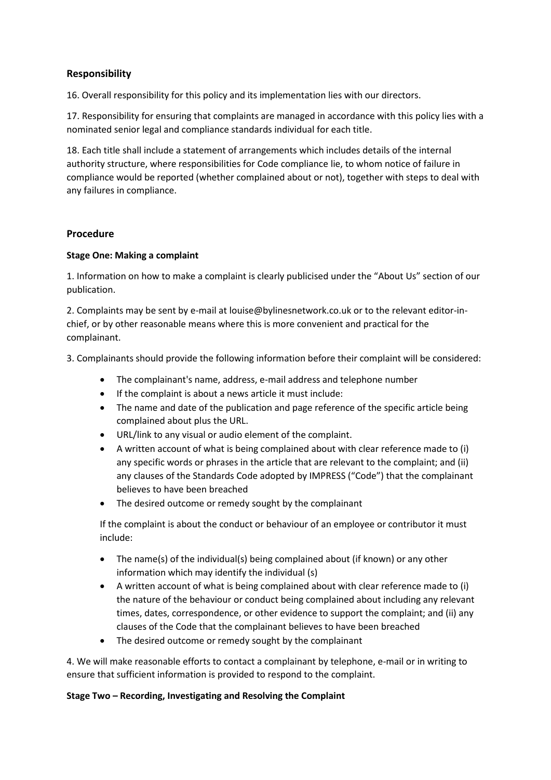## **Responsibility**

16. Overall responsibility for this policy and its implementation lies with our directors.

17. Responsibility for ensuring that complaints are managed in accordance with this policy lies with a nominated senior legal and compliance standards individual for each title.

18. Each title shall include a statement of arrangements which includes details of the internal authority structure, where responsibilities for Code compliance lie, to whom notice of failure in compliance would be reported (whether complained about or not), together with steps to deal with any failures in compliance.

## **Procedure**

## **Stage One: Making a complaint**

1. Information on how to make a complaint is clearly publicised under the "About Us" section of our publication.

2. Complaints may be sent by e-mail at louise@bylinesnetwork.co.uk or to the relevant editor-inchief, or by other reasonable means where this is more convenient and practical for the complainant.

3. Complainants should provide the following information before their complaint will be considered:

- The complainant's name, address, e-mail address and telephone number
- If the complaint is about a news article it must include:
- The name and date of the publication and page reference of the specific article being complained about plus the URL.
- URL/link to any visual or audio element of the complaint.
- A written account of what is being complained about with clear reference made to (i) any specific words or phrases in the article that are relevant to the complaint; and (ii) any clauses of the Standards Code adopted by IMPRESS ("Code") that the complainant believes to have been breached
- The desired outcome or remedy sought by the complainant

If the complaint is about the conduct or behaviour of an employee or contributor it must include:

- The name(s) of the individual(s) being complained about (if known) or any other information which may identify the individual (s)
- A written account of what is being complained about with clear reference made to (i) the nature of the behaviour or conduct being complained about including any relevant times, dates, correspondence, or other evidence to support the complaint; and (ii) any clauses of the Code that the complainant believes to have been breached
- The desired outcome or remedy sought by the complainant

4. We will make reasonable efforts to contact a complainant by telephone, e-mail or in writing to ensure that sufficient information is provided to respond to the complaint.

## **Stage Two – Recording, Investigating and Resolving the Complaint**